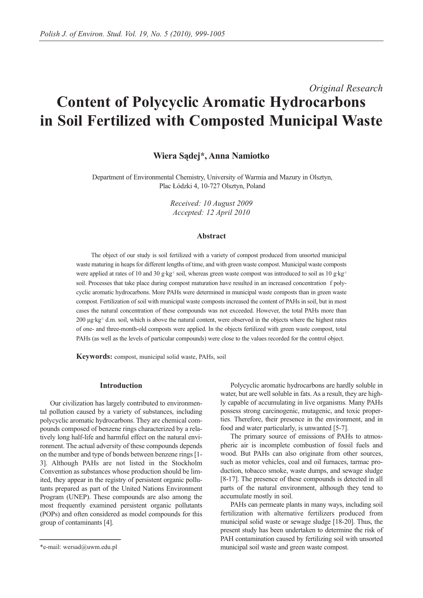# *Original Research* **Content of Polycyclic Aromatic Hydrocarbons in Soil Fertilized with Composted Municipal Waste**

## **Wiera Sądej\*, Anna Namiotko**

Department of Environmental Chemistry, University of Warmia and Mazury in Olsztyn, Plac Łódzki 4, 10-727 Olsztyn, Poland

> *Received: 10 August 2009 Accepted: 12 April 2010*

## **Abstract**

The object of our study is soil fertilized with a variety of compost produced from unsorted municipal waste maturing in heaps for different lengths of time, and with green waste compost. Municipal waste composts were applied at rates of 10 and 30 g·kg<sup>-1</sup> soil, whereas green waste compost was introduced to soil as 10 g·kg<sup>-1</sup> soil. Processes that take place during compost maturation have resulted in an increased concentration f polycyclic aromatic hydrocarbons. More PAHs were determined in municipal waste composts than in green waste compost. Fertilization of soil with municipal waste composts increased the content of PAHs in soil, but in most cases the natural concentration of these compounds was not exceeded. However, the total PAHs more than 200 μg·kg-1 d.m. soil, which is above the natural content, were observed in the objects where the highest rates of one- and three-month-old composts were applied. In the objects fertilized with green waste compost, total PAHs (as well as the levels of particular compounds) were close to the values recorded for the control object.

**Keywords:** compost, municipal solid waste, PAHs, soil

## **Introduction**

Our civilization has largely contributed to environmental pollution caused by a variety of substances, including polycyclic aromatic hydrocarbons. They are chemical compounds composed of benzene rings characterized by a relatively long half-life and harmful effect on the natural environment. The actual adversity of these compounds depends on the number and type of bonds between benzene rings [1- 3]. Although PAHs are not listed in the Stockholm Convention as substances whose production should be limited, they appear in the registry of persistent organic pollutants prepared as part of the United Nations Environment Program (UNEP). These compounds are also among the most frequently examined persistent organic pollutants (POPs) and often considered as model compounds for this group of contaminants [4].

Polycyclic aromatic hydrocarbons are hardly soluble in water, but are well soluble in fats. As a result, they are highly capable of accumulating in live organisms. Many PAHs possess strong carcinogenic, mutagenic, and toxic properties. Therefore, their presence in the environment, and in food and water particularly, is unwanted [5-7].

The primary source of emissions of PAHs to atmospheric air is incomplete combustion of fossil fuels and wood. But PAHs can also originate from other sources, such as motor vehicles, coal and oil furnaces, tarmac production, tobacco smoke, waste dumps, and sewage sludge [8-17]. The presence of these compounds is detected in all parts of the natural environment, although they tend to accumulate mostly in soil.

PAHs can permeate plants in many ways, including soil fertilization with alternative fertilizers produced from municipal solid waste or sewage sludge [18-20]. Thus, the present study has been undertaken to determine the risk of PAH contamination caused by fertilizing soil with unsorted municipal soil waste and green waste compost.

<sup>\*</sup>e-mail: wersad@uwm.edu.pl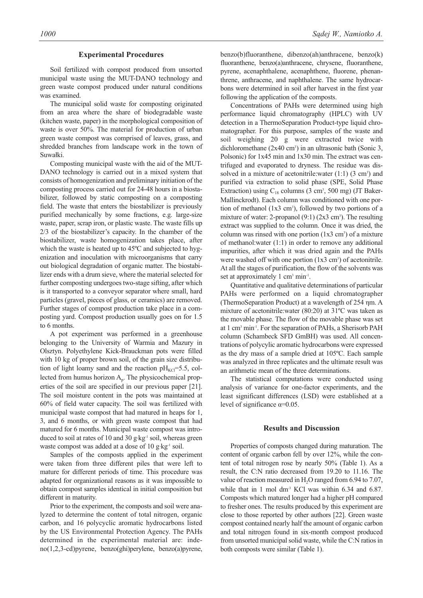#### **Experimental Procedures**

Soil fertilized with compost produced from unsorted municipal waste using the MUT-DANO technology and green waste compost produced under natural conditions was examined.

The municipal solid waste for composting originated from an area where the share of biodegradable waste (kitchen waste, paper) in the morphological composition of waste is over 50%. The material for production of urban green waste compost was comprised of leaves, grass, and shredded branches from landscape work in the town of Suwałki.

Composting municipal waste with the aid of the MUT-DANO technology is carried out in a mixed system that consists of homogenization and preliminary initiation of the composting process carried out for 24-48 hours in a biostabilizer, followed by static composting on a composting field. The waste that enters the biostabilizer is previously purified mechanically by some fractions, e.g. large-size waste, paper, scrap iron, or plastic waste. The waste fills up 2/3 of the biostabilizer's capacity. In the chamber of the biostabilizer, waste homogenization takes place, after which the waste is heated up to 45ºC and subjected to hygenization and inoculation with microorganisms that carry out biological degradation of organic matter. The biostabilizer ends with a drum sieve, where the material selected for further composting undergoes two-stage sifting, after which is it transported to a conveyor separator where small, hard particles (gravel, pieces of glass, or ceramics) are removed. Further stages of compost production take place in a composting yard. Compost production usually goes on for 1.5 to 6 months.

A pot experiment was performed in a greenhouse belonging to the University of Warmia and Mazury in Olsztyn. Polyethylene Kick-Brauckman pots were filled with 10 kg of proper brown soil, of the grain size distribution of light loamy sand and the reaction  $pH_{\text{KCI}}=5.5$ , collected from humus horizon  $A<sub>p</sub>$ . The physicochemical properties of the soil are specified in our previous paper [21]. The soil moisture content in the pots was maintained at 60% of field water capacity. The soil was fertilized with municipal waste compost that had matured in heaps for 1, 3, and 6 months, or with green waste compost that had matured for 6 months. Municipal waste compost was introduced to soil at rates of 10 and 30 g·kg<sup>-1</sup> soil, whereas green waste compost was added at a dose of 10 g·kg<sup>-1</sup> soil.

Samples of the composts applied in the experiment were taken from three different piles that were left to mature for different periods of time. This procedure was adapted for organizational reasons as it was impossible to obtain compost samples identical in initial composition but different in maturity.

Prior to the experiment, the composts and soil were analyzed to determine the content of total nitrogen, organic carbon, and 16 polycyclic aromatic hydrocarbons listed by the US Environmental Protection Agency. The PAHs determined in the experimental material are: indeno(1,2,3-cd)pyrene, benzo(ghi)perylene, benzo(a)pyrene, benzo(b)fluoranthene, dibenzo(ah)anthracene, benzo(k) fluoranthene, benzo(a)anthracene, chrysene, fluoranthene, pyrene, acenaphthalene, acenaphthene, fluorene, phenanthrene, anthracene, and naphthalene. The same hydrocarbons were determined in soil after harvest in the first year following the application of the composts.

Concentrations of PAHs were determined using high performance liquid chromatography (HPLC) with UV detection in a ThermoSeparation Product-type liquid chromatographer. For this purpose, samples of the waste and soil weighing 20 g were extracted twice with dichloromethane  $(2x40 \text{ cm}^3)$  in an ultrasonic bath (Sonic 3, Polsonic) for 1x45 min and 1x30 min. The extract was centrifuged and evaporated to dryness. The residue was dissolved in a mixture of acetonitrile: water  $(1:1)$   $(3 \text{ cm}^3)$  and purified via extraction to solid phase (SPE, Solid Phase Extraction) using  $C_{18}$  columns (3 cm<sup>3</sup>, 500 mg) (JT Baker-Mallinckrodt). Each column was conditioned with one portion of methanol  $(1x3 \text{ cm}^3)$ , followed by two portions of a mixture of water: 2-propanol  $(9:1)$   $(2x3$  cm<sup>3</sup>). The resulting extract was supplied to the column. Once it was dried, the column was rinsed with one portion  $(1x3 \text{ cm}^3)$  of a mixture of methanol:water (1:1) in order to remove any additional impurities, after which it was dried again and the PAHs were washed off with one portion  $(1x3 \text{ cm}^3)$  of acetonitrile. At all the stages of purification, the flow of the solvents was set at approximately  $1 \text{ cm}^3 \text{ min}^{-1}$ .

Quantitative and qualitative determinations of particular PAHs were performed on a liquid chromatographer (ThermoSeparation Product) at a wavelength of 254 ηm. A mixture of acetonitrile:water (80:20) at 31ºC was taken as the movable phase. The flow of the movable phase was set at 1 cm3 min-1. For the separation of PAHs, a Sherisorb PAH column (Schambeck SFD GmBH) was used. All concentrations of polycylic aromatic hydrocarbons were expressed as the dry mass of a sample dried at 105ºC. Each sample was analyzed in three replicates and the ultimate result was an arithmetic mean of the three determinations.

The statistical computations were conducted using analysis of variance for one-factor experiments, and the least significant differences (LSD) were established at a level of significance  $\alpha$ =0.05.

#### **Results and Discussion**

Properties of composts changed during maturation. The content of organic carbon fell by over 12%, while the content of total nitrogen rose by nearly 50% (Table 1). As a result, the C:N ratio decreased from 19.20 to 11.16. The value of reaction measured in H<sub>2</sub>O ranged from 6.94 to 7.07, while that in 1 mol dm<sup>-3</sup> KCl was within 6.34 and 6.87. Composts which matured longer had a higher pH compared to fresher ones. The results produced by this experiment are close to those reported by other authors [22]. Green waste compost contained nearly half the amount of organic carbon and total nitrogen found in six-month compost produced from unsorted municipal solid waste, while the C:N ratios in both composts were similar (Table 1).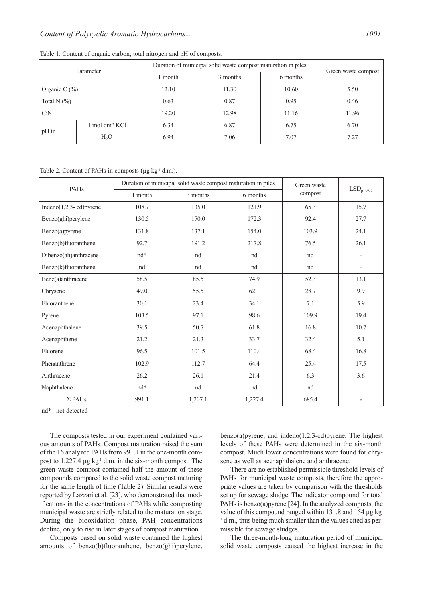| Parameter        |                           | Duration of municipal solid waste compost maturation in piles | Green waste compost |          |       |
|------------------|---------------------------|---------------------------------------------------------------|---------------------|----------|-------|
|                  |                           | l month                                                       | 3 months            | 6 months |       |
| Organic C $(\%)$ |                           | 12.10                                                         | 11.30               | 10.60    | 5.50  |
| Total N $(\%)$   |                           | 0.63                                                          | 0.87                |          | 0.46  |
| C: N             |                           | 19.20<br>12.98                                                |                     | 11.16    | 11.96 |
| $pH$ in          | l mol dm <sup>3</sup> KCl | 6.34                                                          | 6.87                | 6.75     | 6.70  |
|                  | $H_2O$                    | 6.94                                                          | 7.06                | 7.07     | 7.27  |

#### Table 1. Content of organic carbon, total nitrogen and pH of composts.

Table 2. Content of PAHs in composts ( $\mu$ g kg<sup>-1</sup> d.m.).

| PAHs                       |                 | Duration of municipal solid waste compost maturation in piles | Green waste | $\mathrm{LSD}_{p=0.05}$ |                          |
|----------------------------|-----------------|---------------------------------------------------------------|-------------|-------------------------|--------------------------|
|                            | 1 month         | 3 months                                                      | compost     |                         |                          |
| Indeno $(1,2,3-$ cd)pyrene | 108.7           | 135.0                                                         | 121.9       | 65.3                    | 15.7                     |
| Benzo(ghi)perylene         | 130.5           | 170.0                                                         | 172.3       | 92.4                    | 27.7                     |
| Benzo(a)pyrene             | 131.8           | 137.1                                                         | 154.0       | 103.9                   | 24.1                     |
| Benzo(b)fluoranthene       | 92.7            | 191.2<br>217.8                                                |             | 76.5                    | 26.1                     |
| Dibenzo(ah)anthracene      | $nd*$           | nd                                                            | nd          | nd                      | $\overline{a}$           |
| Benzo(k)fluoranthene       | nd              | nd                                                            | nd          | nd                      | $\qquad \qquad -$        |
| Benz(a)anthracene          | 58.5            | 85.5                                                          | 74.9        | 52.3                    | 13.1                     |
| Chrysene                   | 49.0            | 55.5                                                          | 62.1        | 28.7                    | 9.9                      |
| Fluoranthene               | 30.1            | 23.4                                                          | 34.1        | 7.1                     | 5.9                      |
| Pyrene                     | 103.5           | 97.1                                                          | 98.6        | 109.9                   | 19.4                     |
| Acenaphthalene             | 39.5            | 50.7                                                          | 61.8        | 16.8                    | 10.7                     |
| Acenaphthene               | 21.2            | 21.3                                                          | 33.7        | 32.4                    | 5.1                      |
| Fluorene                   | 96.5            | 101.5                                                         | 110.4       | 68.4                    | 16.8                     |
| Phenanthrene               | 102.9           | 112.7                                                         | 64.4        | 25.4                    | 17.5                     |
| Anthracene                 | 26.2            | 26.1                                                          | 21.4        | 6.3                     | 3.6                      |
| Naphthalene                | $\mathrm{nd}^*$ | nd                                                            | nd          | nd                      | $\overline{\phantom{a}}$ |
| $\Sigma$ PAHs              | 991.1           | 1,207.1                                                       | 1,227.4     | 685.4                   |                          |

nd\*– not detected

The composts tested in our experiment contained various amounts of PAHs. Compost maturation raised the sum of the 16 analyzed PAHs from 991.1 in the one-month compost to 1,227.4 μg kg-1 d.m. in the six-month compost. The green waste compost contained half the amount of these compounds compared to the solid waste compost maturing for the same length of time (Table 2). Similar results were reported by Lazzari et al. [23], who demonstrated that modifications in the concentrations of PAHs while composting municipal waste are strictly related to the maturation stage. During the biooxidation phase, PAH concentrations decline, only to rise in later stages of compost maturation.

Composts based on solid waste contained the highest amounts of benzo(b)fluoranthene, benzo(ghi)perylene, benzo(a)pyrene, and indeno(1,2,3-cd)pyrene. The highest levels of these PAHs were determined in the six-month compost. Much lower concentrations were found for chrysene as well as acenaphthalene and anthracene.

There are no established permissible threshold levels of PAHs for municipal waste composts, therefore the appropriate values are taken by comparison with the thresholds set up for sewage sludge. The indicator compound for total PAHs is benzo(a)pyrene [24]. In the analyzed composts, the value of this compound ranged within 131.8 and 154 μg kg-<sup>1</sup> d.m., thus being much smaller than the values cited as permissible for sewage sludges.

The three-month-long maturation period of municipal solid waste composts caused the highest increase in the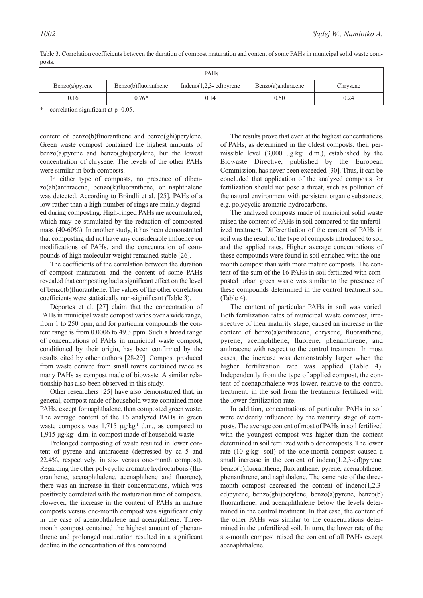| PAH <sub>s</sub>  |                      |                              |                    |          |  |  |  |  |  |  |
|-------------------|----------------------|------------------------------|--------------------|----------|--|--|--|--|--|--|
| $Benzo(a)$ pyrene | Benzo(b)fluoranthene | Indeno $(1,2,3$ - cd) pyrene | Benzo(a)anthracene | Chrysene |  |  |  |  |  |  |
| 0.16              | $0.76*$              | 0.14                         | 0.50               | 0.24     |  |  |  |  |  |  |

Table 3. Correlation coefficients between the duration of compost maturation and content of some PAHs in municipal solid waste composts.

 $*$  – correlation significant at  $p=0.05$ .

content of benzo(b)fluoranthene and benzo(ghi)perylene. Green waste compost contained the highest amounts of benzo(a)pyrene and benzo(ghi)perylene, but the lowest concentration of chrysene. The levels of the other PAHs were similar in both composts.

In either type of composts, no presence of dibenzo(ah)anthracene, benzo(k)fluoranthene, or naphthalene was detected. According to Brändli et al. [25], PAHs of a low rather than a high number of rings are mainly degraded during composting. High-ringed PAHs are accumulated, which may be stimulated by the reduction of composted mass (40-60%). In another study, it has been demonstrated that composting did not have any considerable influence on modifications of PAHs, and the concentration of compounds of high molecular weight remained stable [26].

The coefficients of the correlation between the duration of compost maturation and the content of some PAHs revealed that composting had a significant effect on the level of benzo(b)fluoranthene. The values of the other correlation coefficients were statistically non-siginificant (Table 3).

Déportes et al. [27] claim that the concentration of PAHs in municipal waste compost varies over a wide range, from 1 to 250 ppm, and for particular compounds the content range is from 0.0006 to 49.3 ppm. Such a broad range of concentrations of PAHs in municipal waste compost, conditioned by their origin, has been confirmed by the results cited by other authors [28-29]. Compost produced from waste derived from small towns contained twice as many PAHs as compost made of biowaste. A similar relationship has also been observed in this study.

Other researchers [25] have also demonstrated that, in general, compost made of household waste contained more PAHs, except for naphthalene, than composted green waste. The average content of the 16 analyzed PAHs in green waste composts was  $1,715 \mu$ g·kg<sup>-1</sup> d.m., as compared to 1,915 μg·kg-1 d.m. in compost made of household waste.

Prolonged composting of waste resulted in lower content of pyrene and anthracene (depressed by ca 5 and 22.4%, respectively, in six- versus one-month compost). Regarding the other polycyclic aromatic hydrocarbons (fluoranthene, acenaphthalene, acenaphthene and fluorene), there was an increase in their concentrations, which was positively correlated with the maturation time of composts. However, the increase in the content of PAHs in mature composts versus one-month compost was significant only in the case of acenophthalene and acenaphthene. Threemonth compost contained the highest amount of phenanthrene and prolonged maturation resulted in a significant decline in the concentration of this compound.

The results prove that even at the highest concentrations of PAHs, as determined in the oldest composts, their permissible level  $(3,000 \mu g \cdot kg^{-1} d.m.)$ , established by the Biowaste Directive, published by the European Commission, has never been exceeded [30]. Thus, it can be concluded that application of the analyzed composts for fertilization should not pose a threat, such as pollution of the natural environment with persistent organic substances, e.g. polycyclic aromatic hydrocarbons.

The analyzed composts made of municipal solid waste raised the content of PAHs in soil compared to the unfertilized treatment. Differentiation of the content of PAHs in soil was the result of the type of composts introduced to soil and the applied rates. Higher average concentrations of these compounds were found in soil enriched with the onemonth compost than with more mature composts. The content of the sum of the 16 PAHs in soil fertilized with composted urban green waste was similar to the presence of these compounds determined in the control treatment soil (Table 4).

The content of particular PAHs in soil was varied. Both fertilization rates of municipal waste compost, irrespective of their maturity stage, caused an increase in the content of benzo(a)anthracene, chrysene, fluoranthene, pyrene, acenaphthene, fluorene, phenanthrene, and anthracene with respect to the control treatment. In most cases, the increase was demonstrably larger when the higher fertilization rate was applied (Table 4). Independently from the type of applied compost, the content of acenaphthalene was lower, relative to the control treatment, in the soil from the treatments fertilized with the lower fertilization rate.

In addition, concentrations of particular PAHs in soil were evidently influenced by the maturity stage of composts. The average content of most of PAHs in soil fertilized with the youngest compost was higher than the content determined in soil fertilized with older composts. The lower rate (10  $g \text{·} kg^{-1}$  soil) of the one-month compost caused a small increase in the content of indeno(1,2,3-cd)pyrene, benzo(b)fluoranthene, fluoranthene, pyrene, acenaphthene, phenanthrene, and naphthalene. The same rate of the threemonth compost decreased the content of indeno(1,2,3 cd)pyrene, benzo(ghi)perylene, benzo(a)pyrene, benzo(b) fluoranthene, and acenaphthalene below the levels determined in the control treatment. In that case, the content of the other PAHs was similar to the concentrations determined in the unfertilized soil. In turn, the lower rate of the six-month compost raised the content of all PAHs except acenaphthalene.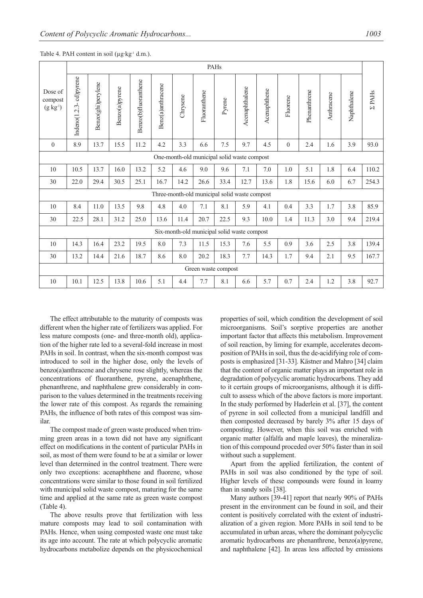|                                             | PAHs                   |                    |                |                      |                   |          |                                               |        |                |              |              |              |            |             |              |
|---------------------------------------------|------------------------|--------------------|----------------|----------------------|-------------------|----------|-----------------------------------------------|--------|----------------|--------------|--------------|--------------|------------|-------------|--------------|
| Dose of<br>compost<br>$(g kg-1)$            | Indeno(1.2.3-cd)pyrene | Benzo(ghi)perylene | Benzo(a)pyrene | Benzo(b)fluoranthene | Benz(a)anthracene | Chrysene | Fluoranthene                                  | Pyrene | Acenaphthalene | Acenaphthene | Fluorene     | Phenanthrene | Anthracene | Naphthalene | <b>ZPAHs</b> |
| $\mathbf{0}$                                | 8.9                    | 13.7               | 15.5           | 11.2                 | 4.2               | 3.3      | 6.6                                           | 7.5    | 9.7            | 4.5          | $\mathbf{0}$ | 2.4          | 1.6        | 3.9         | 93.0         |
| One-month-old municipal solid waste compost |                        |                    |                |                      |                   |          |                                               |        |                |              |              |              |            |             |              |
| 10                                          | 10.5                   | 13.7               | 16.0           | 13.2                 | 5.2               | 4.6      | 9.0                                           | 9.6    | 7.1            | 7.0          | 1.0          | 5.1          | 1.8        | 6.4         | 110.2        |
| 30                                          | 22.0                   | 29.4               | 30.5           | 25.1                 | 16.7              | 14.2     | 26.6                                          | 33.4   | 12.7           | 13.6         | 1.8          | 15.6         | 6.0        | 6.7         | 254.3        |
|                                             |                        |                    |                |                      |                   |          | Three-month-old municipal solid waste compost |        |                |              |              |              |            |             |              |
| 10                                          | 8.4                    | 11.0               | 13.5           | 9.8                  | 4.8               | 4.0      | 7.1                                           | 8.1    | 5.9            | 4.1          | 0.4          | 3.3          | 1.7        | 3.8         | 85.9         |
| 30                                          | 22.5                   | 28.1               | 31.2           | 25.0                 | 13.6              | 11.4     | 20.7                                          | 22.5   | 9.3            | 10.0         | 1.4          | 11.3         | 3.0        | 9.4         | 219.4        |
| Six-month-old municipal solid waste compost |                        |                    |                |                      |                   |          |                                               |        |                |              |              |              |            |             |              |
| 10                                          | 14.3                   | 16.4               | 23.2           | 19.5                 | 8.0               | 7.3      | 11.5                                          | 15.3   | 7.6            | 5.5          | 0.9          | 3.6          | 2.5        | 3.8         | 139.4        |
| 30                                          | 13.2                   | 14.4               | 21.6           | 18.7                 | 8.6               | 8.0      | 20.2                                          | 18.3   | 7.7            | 14.3         | 1.7          | 9.4          | 2.1        | 9.5         | 167.7        |
| Green waste compost                         |                        |                    |                |                      |                   |          |                                               |        |                |              |              |              |            |             |              |
| 10                                          | 10.1                   | 12.5               | 13.8           | 10.6                 | 5.1               | 4.4      | 7.7                                           | 8.1    | 6.6            | 5.7          | 0.7          | 2.4          | 1.2        | 3.8         | 92.7         |

#### Table 4. PAH content in soil ( $\mu$ g·kg<sup>-1</sup> d.m.).

The effect attributable to the maturity of composts was different when the higher rate of fertilizers was applied. For less mature composts (one- and three-month old), application of the higher rate led to a several-fold increase in most PAHs in soil. In contrast, when the six-month compost was introduced to soil in the higher dose, only the levels of benzo(a)anthracene and chrysene rose slightly, whereas the concentrations of fluoranthene, pyrene, acenaphthene, phenanthrene, and naphthalene grew considerably in comparison to the values determined in the treatments receiving the lower rate of this compost. As regards the remaining PAHs, the influence of both rates of this compost was similar.

The compost made of green waste produced when trimming green areas in a town did not have any significant effect on modifications in the content of particular PAHs in soil, as most of them were found to be at a similar or lower level than determined in the control treatment. There were only two exceptions: acenaphthene and fluorene, whose concentrations were similar to those found in soil fertilized with municipal solid waste compost, maturing for the same time and applied at the same rate as green waste compost (Table 4).

The above results prove that fertilization with less mature composts may lead to soil contamination with PAHs. Hence, when using composted waste one must take its age into account. The rate at which polycyclic aromatic hydrocarbons metabolize depends on the physicochemical properties of soil, which condition the development of soil microorganisms. Soil's sorptive properties are another important factor that affects this metabolism. Improvement of soil reaction, by liming for example, accelerates decomposition of PAHs in soil, thus the de-acidifying role of composts is emphasized [31-33]. Kästner and Mahro [34] claim that the content of organic matter plays an important role in degradation of polycyclic aromatic hydrocarbons. They add to it certain groups of microorganisms, although it is difficult to assess which of the above factors is more important. In the study performed by Haderlein et al. [37], the content of pyrene in soil collected from a municipal landfill and then composted decreased by barely 3% after 15 days of composting. However, when this soil was enriched with organic matter (alfalfa and maple leaves), the mineralization of this compound proceded over 50% faster than in soil without such a supplement.

Apart from the applied fertilization, the content of PAHs in soil was also conditioned by the type of soil. Higher levels of these compounds were found in loamy than in sandy soils [38].

Many authors [39-41] report that nearly 90% of PAHs present in the environment can be found in soil, and their content is positively correlated with the extent of industrialization of a given region. More PAHs in soil tend to be accumulated in urban areas, where the dominant polycyclic aromatic hydrocarbons are phenanthrene, benzo(a)pyrene, and naphthalene [42]. In areas less affected by emissions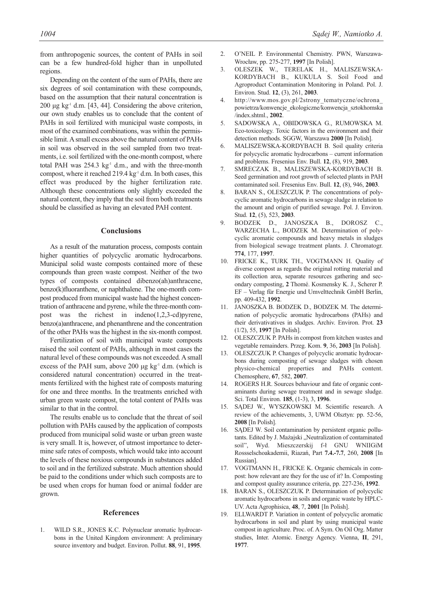from anthropogenic sources, the content of PAHs in soil can be a few hundred-fold higher than in unpolluted regions.

Depending on the content of the sum of PAHs, there are six degrees of soil contamination with these compounds, based on the assumption that their natural concentration is  $200 \mu$ g kg<sup>-1</sup> d.m. [43, 44]. Considering the above criterion, our own study enables us to conclude that the content of PAHs in soil fertilized with municipal waste composts, in most of the examined combinations, was within the permissible limit. A small excess above the natural content of PAHs in soil was observed in the soil sampled from two treatments, i.e. soil fertilized with the one-month compost, where total PAH was  $254.3 \text{ kg}^{-1}$  d.m., and with the three-month compost, where it reached 219.4  $kg<sup>-1</sup>$  d.m. In both cases, this effect was produced by the higher fertilization rate. Although these concentrations only slightly exceeded the natural content, they imply that the soil from both treatments should be classified as having an elevated PAH content.

### **Conclusions**

As a result of the maturation process, composts contain higher quantities of polycyclic aromatic hydrocarbons. Municipal solid waste composts contained more of these compounds than green waste compost. Neither of the two types of composts contained dibenzo(ah)anthracene, benzo(k)fluoranthene, or naphthalene. The one-month compost produced from municipal waste had the highest concentration of anthracene and pyrene, while the three-month compost was the richest in indeno(1,2,3-cd)pyrene, benzo(a)anthracene, and phenanthrene and the concentration of the other PAHs was the highest in the six-month compost.

Fertilization of soil with municipal waste composts raised the soil content of PAHs, although in most cases the natural level of these compounds was not exceeded. A small excess of the PAH sum, above 200  $\mu$ g kg<sup>-1</sup> d.m. (which is considered natural concentration) occurred in the treatments fertilized with the highest rate of composts maturing for one and three months. In the treatments enriched with urban green waste compost, the total content of PAHs was similar to that in the control.

The results enable us to conclude that the threat of soil pollution with PAHs caused by the application of composts produced from municipal solid waste or urban green waste is very small. It is, however, of utmost importance to determine safe rates of composts, which would take into account the levels of these noxious compounds in substances added to soil and in the fertilized substrate. Much attention should be paid to the conditions under which such composts are to be used when crops for human food or animal fodder are grown.

#### **References**

1. WILD S.R., JONES K.C. Polynuclear aromatic hydrocarbons in the United Kingdom environment: A preliminary source inventory and budget. Environ. Pollut. **88**, 91, **1995**.

- 2. O'NEIL P. Environmental Chemistry. PWN, Warszawa-Wrocław, pp. 275-277, **1997** [In Polish].
- 3. OLESZEK W., TERELAK H., MALISZEWSKA-KORDYBACH B., KUKULA S. Soil Food and Agroproduct Contamination Monitoring in Poland. Pol. J. Environ. Stud. **12**, (3), 261, **2003**.
- 4. http://www.mos.gov.pl/2strony\_tematyczne/ochrona\_ powietrza/konwencje\_ekologiczne/konwencja\_sztokhomska /index.shtml., **2002**.
- 5. SADOWSKA A., OBIDOWSKA G., RUMOWSKA M. Eco-toxicology. Toxic factors in the environment and their detection methods. SGGW, Warszawa **2000** [In Polish].
- 6. MALISZEWSKA-KORDYBACH B. Soil quality criteria for polycyclic aromatic hydrocarbons – current information and problems. Fresenius Env. Bull. **12**, (8), 919, **2003**.
- 7. SMRECZAK B., MALISZEWSKA-KORDYBACH B. Seed germination and root growth of selected plants in PAH contaminated soil. Fresenius Env. Bull. **12**, (8), 946, **2003**.
- 8. BARAN S., OLESZCZUK P. The concentrations of polycyclic aromatic hydrocarbons in sewage sludge in relation to the amount and origin of purified sewage. Pol. J. Environ. Stud. **12**, (5), 523, **2003**.
- 9. BODZEK D., JANOSZKA B., DOROSZ C., WARZECHA L., BODZEK M. Determination of polycyclic aromatic compounds and heavy metals in sludges from biological sewage treatment plants. J. Chromatogr. **774**, 177, **1997**.
- 10. FRICKE K., TURK TH., VOGTMANN H. Quality of diverse compost as regards the original rotting material and its collection area, separate resources gathering and secondary composting, **2** Thomé. Kosmensky K. J., Scherer P. EF – Verlag für Energie und Umvelttechnik GmbH Berlin, pp. 409-432, **1992**.
- 11. JANOSZKA B. BODZEK D., BODZEK M. The determination of polycyclic aromatic hydrocarbons (PAHs) and their derivativatives in sludges. Archiv. Environ. Prot. **23** (1/2), 55, **1997** [In Polish].
- 12. OLESZCZUK P. PAHs in compost from kitchen wastes and vegetable remainders. Przeg. Kom. **9**, 36, **2003** [In Polish].
- 13. OLESZCZUK P. Changes of polycyclic aromatic hydrocarbons during composting of sewage sludges with chosen physico-chemical properties and PAHs content. Chemosphere, **67**, 582, **2007**.
- 14. ROGERS H.R. Sources behaviour and fate of organic contaminants during sewage treatment and in sewage sludge. Sci. Total Environ. **185**, (1-3), 3, **1996**.
- 15. SĄDEJ W., WYSZKOWSKI M. Scientific research. A review of the achievements, 3, UWM Olsztyn: pp. 52-56, **2008** [In Polish].
- 16. SĄDEJ W. Soil contamination by persistent organic pollutants. Edited by J. Mażajski "Neutralization of contaminated soil", Wyd. Mieszczerskij f-ł GNU WNIIGiM Rossselschoakademii, Riazań, Part **7.4.-7.7**, 260, **2008** [In Russian].
- 17. VOGTMANN H., FRICKE K. Organic chemicals in compost: how relevant are they for the use of it? In. Composting and compost quality assurance criteria, pp. 227-236, **1992**.
- 18. BARAN S., OLESZCZUK P. Determination of polycyclic aromatic hydrocarbons in soils and organic waste by HPLC-UV. Acta Agrophisica, **48**, 7, **2001** [In Polish].
- 19. ELLWARDT P. Variation in content of polycyclic aromatic hydrocarbons in soil and plant by using municipal waste compost in agriculture. Proc. of. A Sym. On Oil Org. Matter studies, Inter. Atomic. Energy Agency. Vienna, **II**, 291, **1977**.